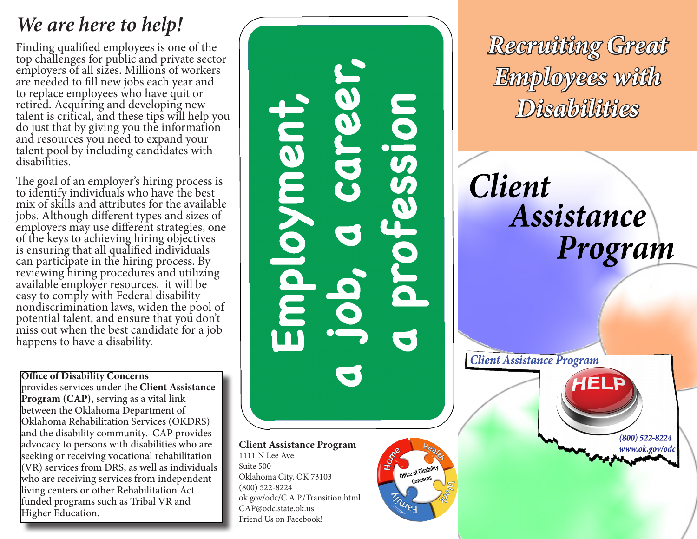# *We are here to help!*

Finding qualified employees is one of the top challenges for public and private sector employers of all sizes. Millions of workers are needed to fill new jobs each year and to replace employees who have quit or retired. Acquiring and developing new talent is critical, and these tips will help you do just that by giving you the information and resources you need to expand your talent pool by including candidates with disabilities.

The goal of an employer's hiring process is to identify individuals who have the best mix of skills and attributes for the available jobs. Although different types and sizes of employers may use different strategies, one of the keys to achieving hiring objectives is ensuring that all qualified individuals can participate in the hiring process. By reviewing hiring procedures and utilizing available employer resources, it will be easy to comply with Federal disability nondiscrimination laws, widen the pool of potential talent, and ensure that you don't miss out when the best candidate for a job happens to have a disability.

**Office of Disability Concerns**  provides services under the **Client Assistance Program (CAP),** serving as a vital link between the Oklahoma Department of Oklahoma Rehabilitation Services (OKDRS) and the disability community. CAP provides advocacy to persons with disabilities who are seeking or receiving vocational rehabilitation (VR) services from DRS, as well as individuals who are receiving services from independent living centers or other Rehabilitation Act funded programs such as Tribal VR and Higher Education.

noiss: ment

**Client Assistance Program** 1111 N Lee Ave Suite 500 Oklahoma City, OK 73103 (800) 522-8224 ok.gov/odc/C.A.P./Transition.html CAP@odc.state.ok.us Friend Us on Facebook!

Office of Disability Concerns

**TINUES** 

*Recruiting Great Employees with Disabilities*

**Client** Assistance Program

**Client Assistance Program**